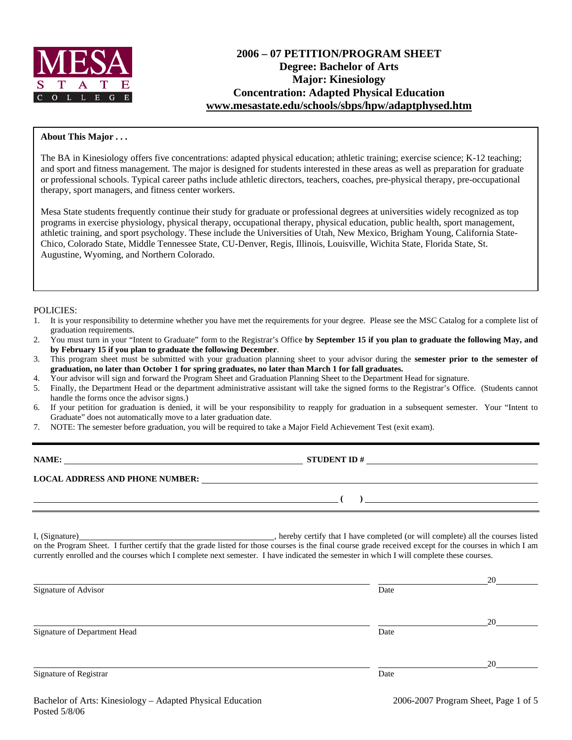

# **2006 – 07 PETITION/PROGRAM SHEET Degree: Bachelor of Arts Major: Kinesiology Concentration: Adapted Physical Education www.mesastate.edu/schools/sbps/hpw/adaptphysed.htm**

#### **About This Major . . .**

The BA in Kinesiology offers five concentrations: adapted physical education; athletic training; exercise science; K-12 teaching; and sport and fitness management. The major is designed for students interested in these areas as well as preparation for graduate or professional schools. Typical career paths include athletic directors, teachers, coaches, pre-physical therapy, pre-occupational therapy, sport managers, and fitness center workers.

Mesa State students frequently continue their study for graduate or professional degrees at universities widely recognized as top programs in exercise physiology, physical therapy, occupational therapy, physical education, public health, sport management, athletic training, and sport psychology. These include the Universities of Utah, New Mexico, Brigham Young, California State-Chico, Colorado State, Middle Tennessee State, CU-Denver, Regis, Illinois, Louisville, Wichita State, Florida State, St. Augustine, Wyoming, and Northern Colorado.

#### POLICIES:

- 1. It is your responsibility to determine whether you have met the requirements for your degree. Please see the MSC Catalog for a complete list of graduation requirements.
- 2. You must turn in your "Intent to Graduate" form to the Registrar's Office **by September 15 if you plan to graduate the following May, and by February 15 if you plan to graduate the following December**.
- 3. This program sheet must be submitted with your graduation planning sheet to your advisor during the **semester prior to the semester of graduation, no later than October 1 for spring graduates, no later than March 1 for fall graduates.**
- 4. Your advisor will sign and forward the Program Sheet and Graduation Planning Sheet to the Department Head for signature.
- 5. Finally, the Department Head or the department administrative assistant will take the signed forms to the Registrar's Office. (Students cannot handle the forms once the advisor signs.)
- 6. If your petition for graduation is denied, it will be your responsibility to reapply for graduation in a subsequent semester. Your "Intent to Graduate" does not automatically move to a later graduation date.
- 7. NOTE: The semester before graduation, you will be required to take a Major Field Achievement Test (exit exam).

| NAME:                                  | <b>STUDENT ID#</b> |  |
|----------------------------------------|--------------------|--|
| <b>LOCAL ADDRESS AND PHONE NUMBER:</b> |                    |  |
|                                        |                    |  |

I, (Signature) , hereby certify that I have completed (or will complete) all the courses listed on the Program Sheet. I further certify that the grade listed for those courses is the final course grade received except for the courses in which I am currently enrolled and the courses which I complete next semester. I have indicated the semester in which I will complete these courses.

|      | 20 |
|------|----|
| Date |    |
|      |    |
|      | 20 |
| Date |    |
|      | 20 |
| Date |    |
|      |    |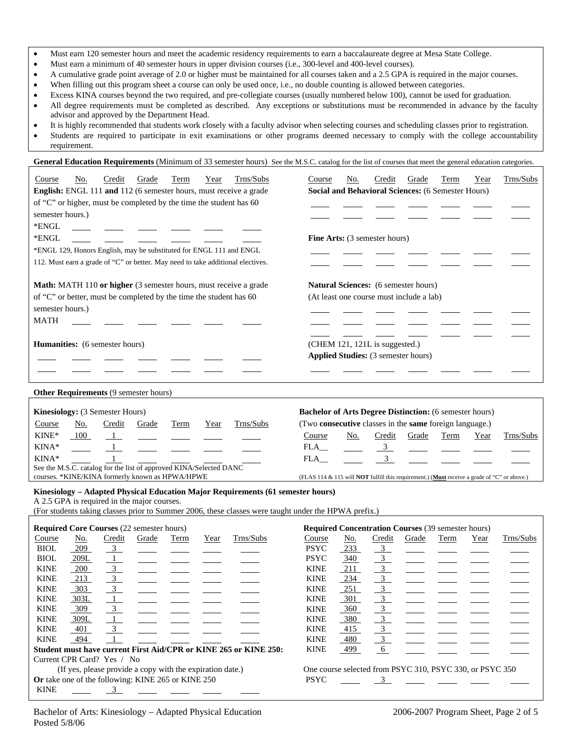- Must earn 120 semester hours and meet the academic residency requirements to earn a baccalaureate degree at Mesa State College.
- Must earn a minimum of 40 semester hours in upper division courses (i.e., 300-level and 400-level courses).
- A cumulative grade point average of 2.0 or higher must be maintained for all courses taken and a 2.5 GPA is required in the major courses.
- When filling out this program sheet a course can only be used once, i.e., no double counting is allowed between categories.
- Excess KINA courses beyond the two required, and pre-collegiate courses (usually numbered below 100), cannot be used for graduation.
- All degree requirements must be completed as described. Any exceptions or substitutions must be recommended in advance by the faculty advisor and approved by the Department Head.
- It is highly recommended that students work closely with a faculty advisor when selecting courses and scheduling classes prior to registration.
- Students are required to participate in exit examinations or other programs deemed necessary to comply with the college accountability requirement.

General Education Requirements (Minimum of 33 semester hours) See the M.S.C. catalog for the list of courses that meet the general education categories

| Trns/Subs<br>No.<br>Credit<br>Grade<br>Term<br>Year<br>Course                                        | Credit<br>Grade<br>Trns/Subs<br>Course<br>No.<br>Term<br>Year                                      |
|------------------------------------------------------------------------------------------------------|----------------------------------------------------------------------------------------------------|
| English: ENGL 111 and 112 (6 semester hours, must receive a grade                                    | Social and Behavioral Sciences: (6 Semester Hours)                                                 |
| of "C" or higher, must be completed by the time the student has 60                                   |                                                                                                    |
| semester hours.)                                                                                     |                                                                                                    |
| *ENGL                                                                                                |                                                                                                    |
| *ENGL                                                                                                | Fine Arts: (3 semester hours)                                                                      |
| *ENGL 129, Honors English, may be substituted for ENGL 111 and ENGL                                  |                                                                                                    |
| 112. Must earn a grade of "C" or better. May need to take additional electives.                      |                                                                                                    |
|                                                                                                      |                                                                                                    |
|                                                                                                      |                                                                                                    |
| Math: MATH 110 or higher (3 semester hours, must receive a grade                                     | <b>Natural Sciences:</b> (6 semester hours)                                                        |
| of "C" or better, must be completed by the time the student has 60                                   | (At least one course must include a lab)                                                           |
| semester hours.)                                                                                     |                                                                                                    |
| <b>MATH</b>                                                                                          |                                                                                                    |
|                                                                                                      |                                                                                                    |
| Humanities: (6 semester hours)                                                                       | (CHEM 121, 121L is suggested.)                                                                     |
|                                                                                                      | Applied Studies: (3 semester hours)                                                                |
|                                                                                                      |                                                                                                    |
|                                                                                                      |                                                                                                    |
| Other Requirements (9 semester hours)                                                                |                                                                                                    |
|                                                                                                      |                                                                                                    |
| Kinesiology: (3 Semester Hours)                                                                      | <b>Bachelor of Arts Degree Distinction:</b> (6 semester hours)                                     |
| Trns/Subs<br>Credit<br>Grade<br>Course<br><u>No.</u><br>Term<br>Year                                 | (Two consecutive classes in the same foreign language.)                                            |
| KINE*<br>100<br>- 1                                                                                  | Course<br>Credit<br>Grade<br>Trns/Subs<br>No.<br>Term<br>Year                                      |
| KINA*<br>$\overline{1}$                                                                              | $\overline{3}$<br>FLA                                                                              |
| KINA*                                                                                                | 3 <sup>7</sup><br>FLA                                                                              |
| See the M.S.C. catalog for the list of approved KINA/Selected DANC                                   |                                                                                                    |
| courses. *KINE/KINA formerly known as HPWA/HPWE                                                      | (FLAS 114 & 115 will <b>NOT</b> fulfill this requirement.) (Must receive a grade of "C" or above.) |
| Kinesiology - Adapted Physical Education Major Requirements (61 semester hours)                      |                                                                                                    |
| A 2.5 GPA is required in the major courses.                                                          |                                                                                                    |
| (For students taking classes prior to Summer 2006, these classes were taught under the HPWA prefix.) |                                                                                                    |
| <b>Required Core Courses (22 semester hours)</b>                                                     | <b>Required Concentration Courses (39 semester hours)</b>                                          |
| Trns/Subs<br>Course<br>Credit<br>No.<br>Grade<br>Term<br>Year                                        | Course<br><u>No.</u><br>Credit<br>Trns/Subs<br>Grade<br>Term<br>Year                               |
| 209<br><b>BIOL</b><br>$\frac{3}{2}$                                                                  | <b>PSYC</b><br>$\overline{3}$<br>233                                                               |
| <b>BIOL</b><br>209L<br>1                                                                             | $\overline{3}$<br><b>PSYC</b><br>340                                                               |
| $\overline{3}$<br><b>KINE</b><br>200                                                                 | $\overline{3}$<br><b>KINE</b><br>211                                                               |
| $\overline{3}$<br>213<br><b>KINE</b>                                                                 | <b>KINE</b><br>234                                                                                 |
| $\overline{3}$<br><b>KINE</b><br>303                                                                 | $\frac{3}{3}$<br><b>KINE</b><br>251                                                                |
| <b>KINE</b><br>303L                                                                                  | <b>KINE</b><br>301<br>$\overline{3}$                                                               |
| <b>KINE</b><br>309                                                                                   | $\overline{3}$<br><b>KINE</b><br>360                                                               |
| <b>KINE</b><br>309L                                                                                  | $\overline{3}$<br><b>KINE</b><br>380                                                               |
| <b>KINE</b><br>401<br>3                                                                              | $\frac{3}{3}$<br><b>KINE</b><br>415                                                                |
| <b>KINE</b><br>494                                                                                   | <b>KINE</b><br>480                                                                                 |
| Student must have current First Aid/CPR or KINE 265 or KINE 250:                                     | <b>KINE</b><br>499<br>6                                                                            |
| Current CPR Card? Yes / No                                                                           |                                                                                                    |
| (If yes, please provide a copy with the expiration date.)                                            | One course selected from PSYC 310, PSYC 330, or PSYC 350                                           |
| Or take one of the following: KINE 265 or KINE 250                                                   | <b>PSYC</b><br>3                                                                                   |
| <b>KINE</b><br>3                                                                                     |                                                                                                    |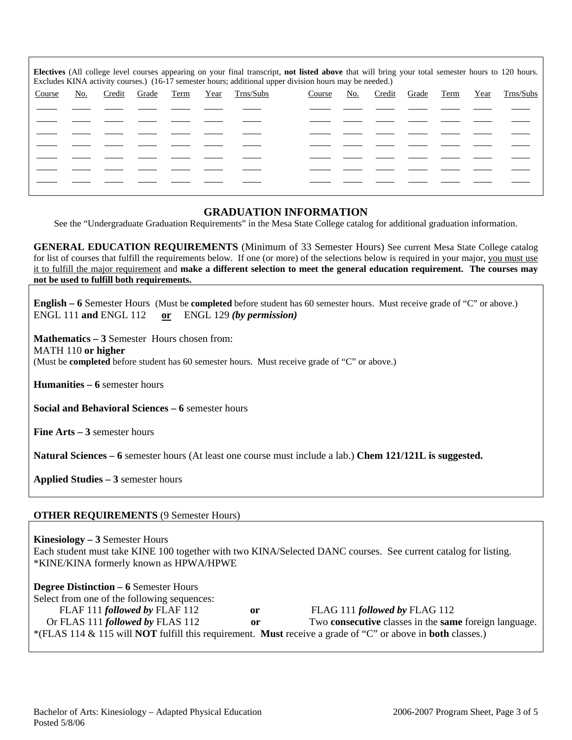| Electives (All college level courses appearing on your final transcript, not listed above that will bring your total semester hours to 120 hours.<br>Excludes KINA activity courses.) (16-17 semester hours; additional upper division hours may be needed.) |     |        |       |      |      |           |        |     |        |       |      |      |           |
|--------------------------------------------------------------------------------------------------------------------------------------------------------------------------------------------------------------------------------------------------------------|-----|--------|-------|------|------|-----------|--------|-----|--------|-------|------|------|-----------|
| Course                                                                                                                                                                                                                                                       | No. | Credit | Grade | Term | Year | Trns/Subs | Course | No. | Credit | Grade | Term | Year | Trns/Subs |
|                                                                                                                                                                                                                                                              |     |        |       |      |      |           |        |     |        |       |      |      |           |
|                                                                                                                                                                                                                                                              |     |        |       |      |      |           |        |     |        |       |      |      |           |
|                                                                                                                                                                                                                                                              |     |        |       |      |      |           |        |     |        |       |      |      |           |
|                                                                                                                                                                                                                                                              |     |        |       |      |      |           |        |     |        |       |      |      |           |
|                                                                                                                                                                                                                                                              |     |        |       |      |      |           |        |     |        |       |      |      |           |
|                                                                                                                                                                                                                                                              |     |        |       |      |      |           |        |     |        |       |      |      |           |
|                                                                                                                                                                                                                                                              |     |        |       |      |      |           |        |     |        |       |      |      |           |

# **GRADUATION INFORMATION**

See the "Undergraduate Graduation Requirements" in the Mesa State College catalog for additional graduation information.

**GENERAL EDUCATION REQUIREMENTS** (Minimum of 33 Semester Hours) See current Mesa State College catalog for list of courses that fulfill the requirements below. If one (or more) of the selections below is required in your major, you must use it to fulfill the major requirement and **make a different selection to meet the general education requirement. The courses may not be used to fulfill both requirements.**

**English – 6** Semester Hours (Must be **completed** before student has 60 semester hours. Must receive grade of "C" or above.) ENGL 111 **and** ENGL 112 **or** ENGL 129 *(by permission)*

**Mathematics – 3** Semester Hours chosen from:

MATH 110 **or higher**

(Must be **completed** before student has 60 semester hours. Must receive grade of "C" or above.)

**Humanities – 6** semester hours

**Social and Behavioral Sciences – 6** semester hours

**Fine Arts – 3** semester hours

**Natural Sciences – 6** semester hours (At least one course must include a lab.) **Chem 121/121L is suggested.**

**Applied Studies – 3** semester hours

### **OTHER REQUIREMENTS** (9 Semester Hours)

**Kinesiology – 3** Semester Hours Each student must take KINE 100 together with two KINA/Selected DANC courses. See current catalog for listing. \*KINE/KINA formerly known as HPWA/HPWE

| <b>Degree Distinction – 6 Semester Hours</b> |    |                                                                                                                                 |
|----------------------------------------------|----|---------------------------------------------------------------------------------------------------------------------------------|
| Select from one of the following sequences:  |    |                                                                                                                                 |
| FLAF 111 followed by FLAF 112                | 0r | FLAG 111 <i>followed by</i> FLAG 112                                                                                            |
| Or FLAS 111 <i>followed by FLAS</i> 112      | or | Two <b>consecutive</b> classes in the <b>same</b> foreign language.                                                             |
|                                              |    | *(FLAS 114 & 115 will <b>NOT</b> fulfill this requirement. <b>Must</b> receive a grade of "C" or above in <b>both</b> classes.) |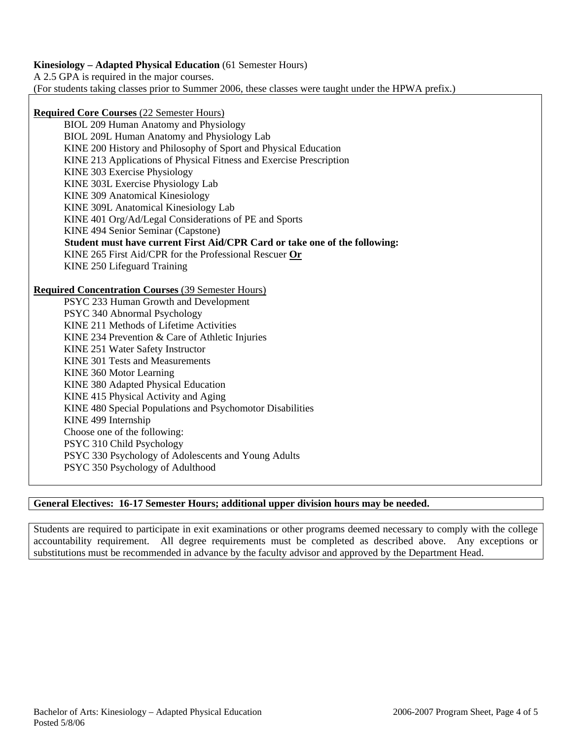## **Kinesiology – Adapted Physical Education** (61 Semester Hours)

A 2.5 GPA is required in the major courses.

(For students taking classes prior to Summer 2006, these classes were taught under the HPWA prefix.)

# **Required Core Courses** (22 Semester Hours)

BIOL 209 Human Anatomy and Physiology BIOL 209L Human Anatomy and Physiology Lab KINE 200 History and Philosophy of Sport and Physical Education KINE 213 Applications of Physical Fitness and Exercise Prescription KINE 303 Exercise Physiology KINE 303L Exercise Physiology Lab KINE 309 Anatomical Kinesiology KINE 309L Anatomical Kinesiology Lab KINE 401 Org/Ad/Legal Considerations of PE and Sports KINE 494 Senior Seminar (Capstone)  **Student must have current First Aid/CPR Card or take one of the following:**  KINE 265 First Aid/CPR for the Professional Rescuer **Or** KINE 250 Lifeguard Training

### **Required Concentration Courses** (39 Semester Hours)

PSYC 233 Human Growth and Development PSYC 340 Abnormal Psychology KINE 211 Methods of Lifetime Activities KINE 234 Prevention & Care of Athletic Injuries KINE 251 Water Safety Instructor KINE 301 Tests and Measurements KINE 360 Motor Learning KINE 380 Adapted Physical Education KINE 415 Physical Activity and Aging KINE 480 Special Populations and Psychomotor Disabilities KINE 499 Internship Choose one of the following: PSYC 310 Child Psychology PSYC 330 Psychology of Adolescents and Young Adults PSYC 350 Psychology of Adulthood

## **General Electives: 16-17 Semester Hours; additional upper division hours may be needed.**

Students are required to participate in exit examinations or other programs deemed necessary to comply with the college accountability requirement. All degree requirements must be completed as described above. Any exceptions or substitutions must be recommended in advance by the faculty advisor and approved by the Department Head.